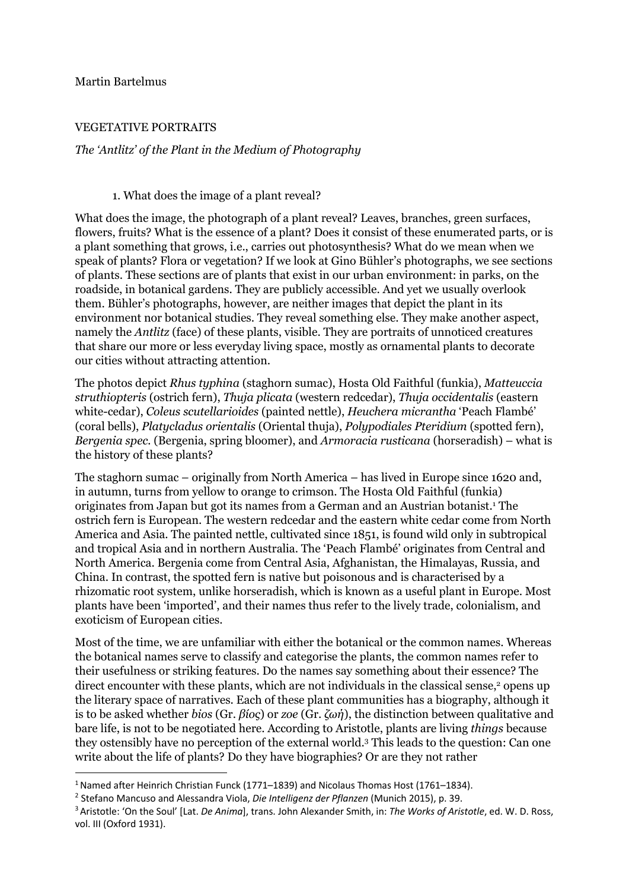### Martin Bartelmus

## VEGETATIVE PORTRAITS

## *The 'Antlitz' of the Plant in the Medium of Photography*

#### 1. What does the image of a plant reveal?

What does the image, the photograph of a plant reveal? Leaves, branches, green surfaces, flowers, fruits? What is the essence of a plant? Does it consist of these enumerated parts, or is a plant something that grows, i.e., carries out photosynthesis? What do we mean when we speak of plants? Flora or vegetation? If we look at Gino Bühler's photographs, we see sections of plants. These sections are of plants that exist in our urban environment: in parks, on the roadside, in botanical gardens. They are publicly accessible. And yet we usually overlook them. Bühler's photographs, however, are neither images that depict the plant in its environment nor botanical studies. They reveal something else. They make another aspect, namely the *Antlitz* (face) of these plants, visible. They are portraits of unnoticed creatures that share our more or less everyday living space, mostly as ornamental plants to decorate our cities without attracting attention.

The photos depict *Rhus typhina* (staghorn sumac), Hosta Old Faithful (funkia), *Matteuccia struthiopteris* (ostrich fern), *Thuja plicata* (western redcedar), *Thuja occidentalis* (eastern white-cedar), *Coleus scutellarioides* (painted nettle), *Heuchera micrantha* 'Peach Flambé' (coral bells), *Platycladus orientalis* (Oriental thuja), *Polypodiales Pteridium* (spotted fern), *Bergenia spec.* (Bergenia, spring bloomer), and *Armoracia rusticana* (horseradish) – what is the history of these plants?

The staghorn sumac – originally from North America – has lived in Europe since 1620 and, in autumn, turns from yellow to orange to crimson. The Hosta Old Faithful (funkia) originates from Japan but got its names from a German and an Austrian botanist.1 The ostrich fern is European. The western redcedar and the eastern white cedar come from North America and Asia. The painted nettle, cultivated since 1851, is found wild only in subtropical and tropical Asia and in northern Australia. The 'Peach Flambé' originates from Central and North America. Bergenia come from Central Asia, Afghanistan, the Himalayas, Russia, and China. In contrast, the spotted fern is native but poisonous and is characterised by a rhizomatic root system, unlike horseradish, which is known as a useful plant in Europe. Most plants have been 'imported', and their names thus refer to the lively trade, colonialism, and exoticism of European cities.

Most of the time, we are unfamiliar with either the botanical or the common names. Whereas the botanical names serve to classify and categorise the plants, the common names refer to their usefulness or striking features. Do the names say something about their essence? The direct encounter with these plants, which are not individuals in the classical sense,<sup>2</sup> opens up the literary space of narratives. Each of these plant communities has a biography, although it is to be asked whether *bios* (Gr. *βíος*) or *zoe* (Gr. *ζωή*), the distinction between qualitative and bare life, is not to be negotiated here. According to Aristotle, plants are living *things* because they ostensibly have no perception of the external world.3 This leads to the question: Can one write about the life of plants? Do they have biographies? Or are they not rather

<sup>&</sup>lt;sup>1</sup> Named after Heinrich Christian Funck (1771–1839) and Nicolaus Thomas Host (1761–1834).

<sup>2</sup> Stefano Mancuso and Alessandra Viola, *Die Intelligenz der Pflanzen* (Munich 2015), p. 39.

<sup>3</sup> Aristotle: 'On the Soul' [Lat. *De Anima*], trans. John Alexander Smith, in: *The Works of Aristotle*, ed. W. D. Ross, vol. III (Oxford 1931).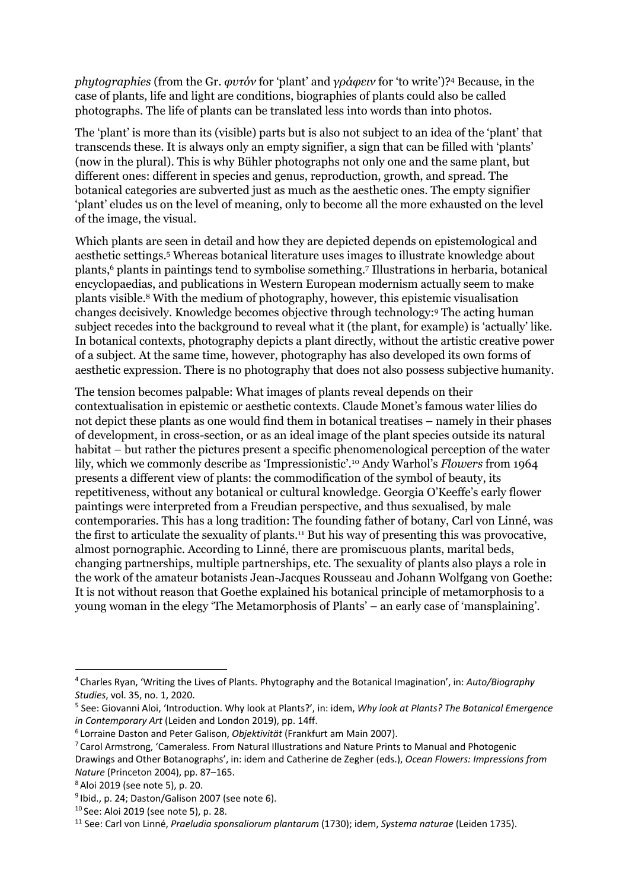*phytographies* (from the Gr. *φυτόν* for 'plant' and *γράφειν* for 'to write')?4 Because, in the case of plants, life and light are conditions, biographies of plants could also be called photographs. The life of plants can be translated less into words than into photos.

The 'plant' is more than its (visible) parts but is also not subject to an idea of the 'plant' that transcends these. It is always only an empty signifier, a sign that can be filled with 'plants' (now in the plural). This is why Bühler photographs not only one and the same plant, but different ones: different in species and genus, reproduction, growth, and spread. The botanical categories are subverted just as much as the aesthetic ones. The empty signifier 'plant' eludes us on the level of meaning, only to become all the more exhausted on the level of the image, the visual.

Which plants are seen in detail and how they are depicted depends on epistemological and aesthetic settings.5 Whereas botanical literature uses images to illustrate knowledge about plants,6 plants in paintings tend to symbolise something.7 Illustrations in herbaria, botanical encyclopaedias, and publications in Western European modernism actually seem to make plants visible.8 With the medium of photography, however, this epistemic visualisation changes decisively. Knowledge becomes objective through technology:9 The acting human subject recedes into the background to reveal what it (the plant, for example) is 'actually' like. In botanical contexts, photography depicts a plant directly, without the artistic creative power of a subject. At the same time, however, photography has also developed its own forms of aesthetic expression. There is no photography that does not also possess subjective humanity.

The tension becomes palpable: What images of plants reveal depends on their contextualisation in epistemic or aesthetic contexts. Claude Monet's famous water lilies do not depict these plants as one would find them in botanical treatises – namely in their phases of development, in cross-section, or as an ideal image of the plant species outside its natural habitat – but rather the pictures present a specific phenomenological perception of the water lily, which we commonly describe as 'Impressionistic'. <sup>10</sup> Andy Warhol's *Flowers* from 1964 presents a different view of plants: the commodification of the symbol of beauty, its repetitiveness, without any botanical or cultural knowledge. Georgia O'Keeffe's early flower paintings were interpreted from a Freudian perspective, and thus sexualised, by male contemporaries. This has a long tradition: The founding father of botany, Carl von Linné, was the first to articulate the sexuality of plants.11 But his way of presenting this was provocative, almost pornographic. According to Linné, there are promiscuous plants, marital beds, changing partnerships, multiple partnerships, etc. The sexuality of plants also plays a role in the work of the amateur botanists Jean-Jacques Rousseau and Johann Wolfgang von Goethe: It is not without reason that Goethe explained his botanical principle of metamorphosis to a young woman in the elegy 'The Metamorphosis of Plants' – an early case of 'mansplaining'.

<sup>4</sup> Charles Ryan, 'Writing the Lives of Plants. Phytography and the Botanical Imagination', in: *Auto/Biography Studies*, vol. 35, no. 1, 2020.

<sup>5</sup> See: Giovanni Aloi, 'Introduction. Why look at Plants?', in: idem, *Why look at Plants? The Botanical Emergence in Contemporary Art* (Leiden and London 2019), pp. 14ff.

<sup>6</sup> Lorraine Daston and Peter Galison, *Objektivität* (Frankfurt am Main 2007).

 $7$  Carol Armstrong, 'Cameraless. From Natural Illustrations and Nature Prints to Manual and Photogenic Drawings and Other Botanographs', in: idem and Catherine de Zegher (eds.), *Ocean Flowers: Impressions from Nature* (Princeton 2004), pp. 87–165.

<sup>8</sup> Aloi 2019 (see note 5), p. 20.

<sup>&</sup>lt;sup>9</sup> Ibid., p. 24; Daston/Galison 2007 (see note 6).

<sup>10</sup> See: Aloi 2019 (see note 5), p. 28.

<sup>11</sup> See: Carl von Linné, *Praeludia sponsaliorum plantarum* (1730); idem, *Systema naturae* (Leiden 1735).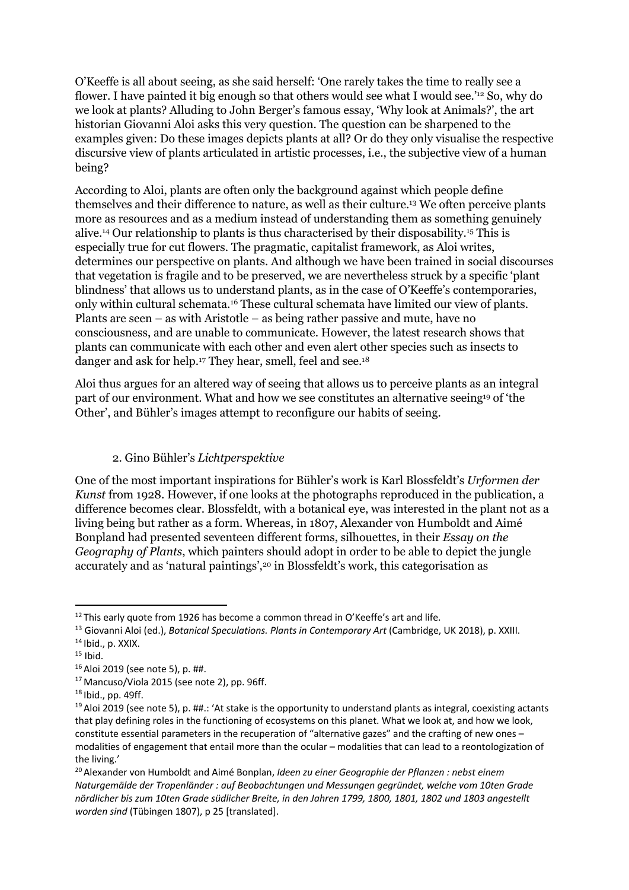O'Keeffe is all about seeing, as she said herself: 'One rarely takes the time to really see a flower. I have painted it big enough so that others would see what I would see.'<sup>12</sup> So, why do we look at plants? Alluding to John Berger's famous essay, 'Why look at Animals?', the art historian Giovanni Aloi asks this very question. The question can be sharpened to the examples given: Do these images depicts plants at all? Or do they only visualise the respective discursive view of plants articulated in artistic processes, i.e., the subjective view of a human being?

According to Aloi, plants are often only the background against which people define themselves and their difference to nature, as well as their culture.13 We often perceive plants more as resources and as a medium instead of understanding them as something genuinely alive.14 Our relationship to plants is thus characterised by their disposability. <sup>15</sup> This is especially true for cut flowers. The pragmatic, capitalist framework, as Aloi writes, determines our perspective on plants. And although we have been trained in social discourses that vegetation is fragile and to be preserved, we are nevertheless struck by a specific 'plant blindness' that allows us to understand plants, as in the case of O'Keeffe's contemporaries, only within cultural schemata.16 These cultural schemata have limited our view of plants. Plants are seen – as with Aristotle – as being rather passive and mute, have no consciousness, and are unable to communicate. However, the latest research shows that plants can communicate with each other and even alert other species such as insects to danger and ask for help.<sup>17</sup> They hear, smell, feel and see.<sup>18</sup>

Aloi thus argues for an altered way of seeing that allows us to perceive plants as an integral part of our environment. What and how we see constitutes an alternative seeing19 of 'the Other', and Bühler's images attempt to reconfigure our habits of seeing.

# 2. Gino Bühler's *Lichtperspektive*

One of the most important inspirations for Bühler's work is Karl Blossfeldt's *Urformen der Kunst* from 1928. However, if one looks at the photographs reproduced in the publication, a difference becomes clear. Blossfeldt, with a botanical eye, was interested in the plant not as a living being but rather as a form. Whereas, in 1807, Alexander von Humboldt and Aimé Bonpland had presented seventeen different forms, silhouettes, in their *Essay on the Geography of Plants*, which painters should adopt in order to be able to depict the jungle accurately and as 'natural paintings', <sup>20</sup> in Blossfeldt's work, this categorisation as

 $12$  This early quote from 1926 has become a common thread in O'Keeffe's art and life.

<sup>13</sup> Giovanni Aloi (ed.), *Botanical Speculations. Plants in Contemporary Art* (Cambridge, UK 2018), p. XXIII.

 $14$  Ibid., p. XXIX.

 $15$  Ibid.

<sup>16</sup> Aloi 2019 (see note 5), p. ##.

<sup>17</sup> Mancuso/Viola 2015 (see note 2), pp. 96ff.

 $18$  Ibid., pp. 49ff.

 $19$  Aloi 2019 (see note 5), p. ##.: 'At stake is the opportunity to understand plants as integral, coexisting actants that play defining roles in the functioning of ecosystems on this planet. What we look at, and how we look, constitute essential parameters in the recuperation of "alternative gazes" and the crafting of new ones – modalities of engagement that entail more than the ocular – modalities that can lead to a reontologization of the living.'

<sup>20</sup> Alexander von Humboldt and Aimé Bonplan, *Ideen zu einer Geographie der Pflanzen : nebst einem Naturgemälde der Tropenländer : auf Beobachtungen und Messungen gegründet, welche vom 10ten Grade nördlicher bis zum 10ten Grade südlicher Breite, in den Jahren 1799, 1800, 1801, 1802 und 1803 angestellt worden sind* (Tübingen 1807), p 25 [translated].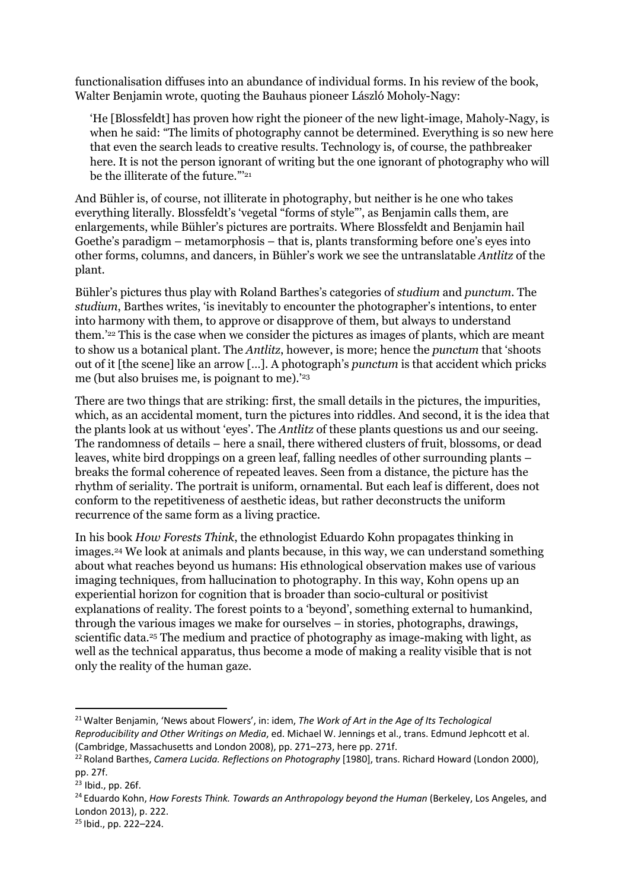functionalisation diffuses into an abundance of individual forms. In his review of the book, Walter Benjamin wrote, quoting the Bauhaus pioneer László Moholy-Nagy:

'He [Blossfeldt] has proven how right the pioneer of the new light-image, Maholy-Nagy, is when he said: "The limits of photography cannot be determined. Everything is so new here that even the search leads to creative results. Technology is, of course, the pathbreaker here. It is not the person ignorant of writing but the one ignorant of photography who will be the illiterate of the future."<sup>21</sup>

And Bühler is, of course, not illiterate in photography, but neither is he one who takes everything literally. Blossfeldt's 'vegetal "forms of style"', as Benjamin calls them, are enlargements, while Bühler's pictures are portraits. Where Blossfeldt and Benjamin hail Goethe's paradigm – metamorphosis – that is, plants transforming before one's eyes into other forms, columns, and dancers, in Bühler's work we see the untranslatable *Antlitz* of the plant.

Bühler's pictures thus play with Roland Barthes's categories of *studium* and *punctum*. The *studium*, Barthes writes, 'is inevitably to encounter the photographer's intentions, to enter into harmony with them, to approve or disapprove of them, but always to understand them.' <sup>22</sup> This is the case when we consider the pictures as images of plants, which are meant to show us a botanical plant. The *Antlitz*, however, is more; hence the *punctum* that 'shoots out of it [the scene] like an arrow […]. A photograph's *punctum* is that accident which pricks me (but also bruises me, is poignant to me).'23

There are two things that are striking: first, the small details in the pictures, the impurities, which, as an accidental moment, turn the pictures into riddles. And second, it is the idea that the plants look at us without 'eyes'. The *Antlitz* of these plants questions us and our seeing. The randomness of details – here a snail, there withered clusters of fruit, blossoms, or dead leaves, white bird droppings on a green leaf, falling needles of other surrounding plants – breaks the formal coherence of repeated leaves. Seen from a distance, the picture has the rhythm of seriality. The portrait is uniform, ornamental. But each leaf is different, does not conform to the repetitiveness of aesthetic ideas, but rather deconstructs the uniform recurrence of the same form as a living practice.

In his book *How Forests Think*, the ethnologist Eduardo Kohn propagates thinking in images.24 We look at animals and plants because, in this way, we can understand something about what reaches beyond us humans: His ethnological observation makes use of various imaging techniques, from hallucination to photography. In this way, Kohn opens up an experiential horizon for cognition that is broader than socio-cultural or positivist explanations of reality. The forest points to a 'beyond', something external to humankind, through the various images we make for ourselves – in stories, photographs, drawings, scientific data.<sup>25</sup> The medium and practice of photography as image-making with light, as well as the technical apparatus, thus become a mode of making a reality visible that is not only the reality of the human gaze.

<sup>21</sup> Walter Benjamin, 'News about Flowers', in: idem, *The Work of Art in the Age of Its Techological Reproducibility and Other Writings on Media*, ed. Michael W. Jennings et al., trans. Edmund Jephcott et al. (Cambridge, Massachusetts and London 2008), pp. 271–273, here pp. 271f.

<sup>22</sup> Roland Barthes, *Camera Lucida. Reflections on Photography* [1980], trans. Richard Howard (London 2000), pp. 27f.

<sup>23</sup> Ibid., pp. 26f.

<sup>24</sup> Eduardo Kohn, *How Forests Think. Towards an Anthropology beyond the Human* (Berkeley, Los Angeles, and London 2013), p. 222.

<sup>25</sup> Ibid., pp. 222–224.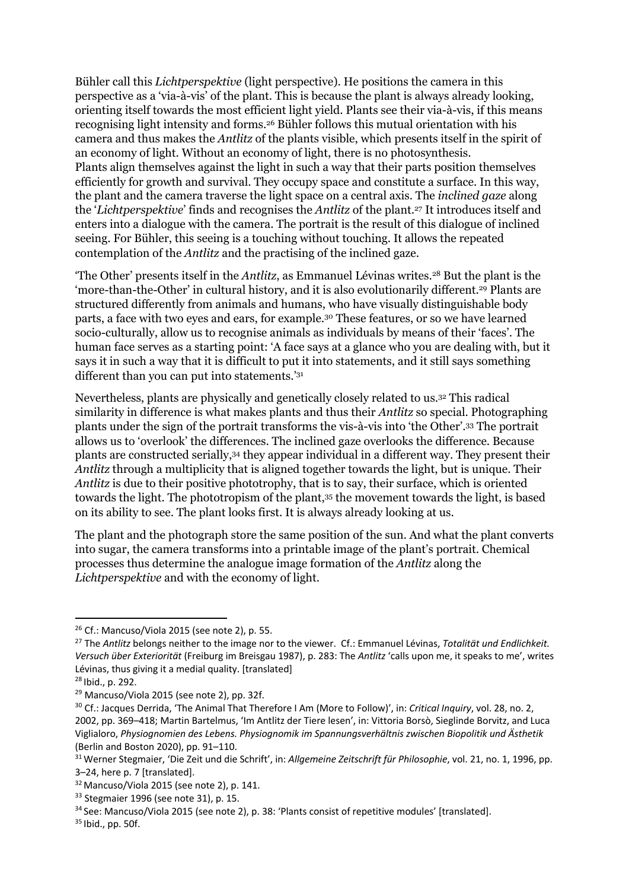Bühler call this *Lichtperspektive* (light perspective). He positions the camera in this perspective as a 'via-à-vis' of the plant. This is because the plant is always already looking, orienting itself towards the most efficient light yield. Plants see their via-à-vis, if this means recognising light intensity and forms. <sup>26</sup> Bühler follows this mutual orientation with his camera and thus makes the *Antlitz* of the plants visible, which presents itself in the spirit of an economy of light. Without an economy of light, there is no photosynthesis. Plants align themselves against the light in such a way that their parts position themselves efficiently for growth and survival. They occupy space and constitute a surface. In this way, the plant and the camera traverse the light space on a central axis. The *inclined gaze* along the '*Lichtperspektive*' finds and recognises the *Antlitz* of the plant.27 It introduces itself and enters into a dialogue with the camera. The portrait is the result of this dialogue of inclined seeing. For Bühler, this seeing is a touching without touching. It allows the repeated contemplation of the *Antlitz* and the practising of the inclined gaze.

'The Other' presents itself in the *Antlitz*, as Emmanuel Lévinas writes.28 But the plant is the 'more-than-the-Other' in cultural history, and it is also evolutionarily different.29 Plants are structured differently from animals and humans, who have visually distinguishable body parts, a face with two eyes and ears, for example.30 These features, or so we have learned socio-culturally, allow us to recognise animals as individuals by means of their 'faces'. The human face serves as a starting point: 'A face says at a glance who you are dealing with, but it says it in such a way that it is difficult to put it into statements, and it still says something different than you can put into statements.'<sup>31</sup>

Nevertheless, plants are physically and genetically closely related to us.32 This radical similarity in difference is what makes plants and thus their *Antlitz* so special. Photographing plants under the sign of the portrait transforms the vis-à-vis into 'the Other'.33 The portrait allows us to 'overlook' the differences. The inclined gaze overlooks the difference. Because plants are constructed serially, <sup>34</sup> they appear individual in a different way. They present their *Antlitz* through a multiplicity that is aligned together towards the light, but is unique. Their *Antlitz* is due to their positive phototrophy, that is to say, their surface, which is oriented towards the light. The phototropism of the plant,35 the movement towards the light, is based on its ability to see. The plant looks first. It is always already looking at us.

The plant and the photograph store the same position of the sun. And what the plant converts into sugar, the camera transforms into a printable image of the plant's portrait. Chemical processes thus determine the analogue image formation of the *Antlitz* along the *Lichtperspektive* and with the economy of light.

 $26$  Cf.: Mancuso/Viola 2015 (see note 2), p. 55.

<sup>27</sup> The *Antlitz* belongs neither to the image nor to the viewer. Cf.: Emmanuel Lévinas, *Totalität und Endlichkeit. Versuch über Exteriorität* (Freiburg im Breisgau 1987), p. 283: The *Antlitz* 'calls upon me, it speaks to me', writes Lévinas, thus giving it a medial quality. [translated]

<sup>28</sup> Ibid., p. 292.

<sup>&</sup>lt;sup>29</sup> Mancuso/Viola 2015 (see note 2), pp. 32f.

<sup>30</sup> Cf.: Jacques Derrida, 'The Animal That Therefore I Am (More to Follow)', in: *Critical Inquiry*, vol. 28, no. 2, 2002, pp. 369–418; Martin Bartelmus, 'Im Antlitz der Tiere lesen', in: Vittoria Borsò, Sieglinde Borvitz, and Luca Viglialoro, *Physiognomien des Lebens. Physiognomik im Spannungsverhältnis zwischen Biopolitik und Ästhetik* (Berlin and Boston 2020), pp. 91–110.

<sup>31</sup> Werner Stegmaier, 'Die Zeit und die Schrift', in: *Allgemeine Zeitschrift für Philosophie*, vol. 21, no. 1, 1996, pp. 3–24, here p. 7 [translated].

 $32$  Mancuso/Viola 2015 (see note 2), p. 141.

<sup>33</sup> Stegmaier 1996 (see note 31), p. 15.

<sup>&</sup>lt;sup>34</sup> See: Mancuso/Viola 2015 (see note 2), p. 38: 'Plants consist of repetitive modules' [translated].

 $35$  Ibid., pp. 50f.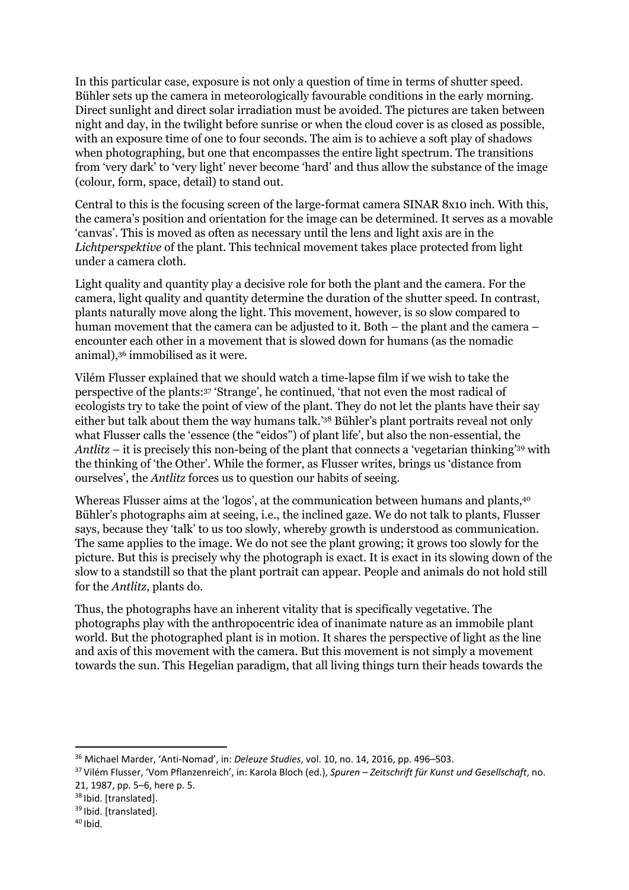In this particular case, exposure is not only a question of time in terms of shutter speed. Bühler sets up the camera in meteorologically favourable conditions in the early morning. Direct sunlight and direct solar irradiation must be avoided. The pictures are taken between night and day, in the twilight before sunrise or when the cloud cover is as closed as possible, with an exposure time of one to four seconds. The aim is to achieve a soft play of shadows when photographing, but one that encompasses the entire light spectrum. The transitions from 'very dark' to 'very light' never become 'hard' and thus allow the substance of the image (colour, form, space, detail) to stand out.

Central to this is the focusing screen of the large-format camera SINAR 8x10 inch. With this, the camera's position and orientation for the image can be determined. It serves as a movable 'canvas'. This is moved as often as necessary until the lens and light axis are in the *Lichtperspektive* of the plant. This technical movement takes place protected from light under a camera cloth.

Light quality and quantity play a decisive role for both the plant and the camera. For the camera, light quality and quantity determine the duration of the shutter speed. In contrast, plants naturally move along the light. This movement, however, is so slow compared to human movement that the camera can be adjusted to it. Both – the plant and the camera – encounter each other in a movement that is slowed down for humans (as the nomadic animal),36 immobilised as it were.

Vilém Flusser explained that we should watch a time-lapse film if we wish to take the perspective of the plants:37 'Strange', he continued, 'that not even the most radical of ecologists try to take the point of view of the plant. They do not let the plants have their say either but talk about them the way humans talk.' <sup>38</sup> Bühler's plant portraits reveal not only what Flusser calls the 'essence (the "eidos") of plant life', but also the non-essential, the *Antlitz* – it is precisely this non-being of the plant that connects a 'vegetarian thinking' <sup>39</sup> with the thinking of 'the Other'. While the former, as Flusser writes, brings us 'distance from ourselves', the *Antlitz* forces us to question our habits of seeing.

Whereas Flusser aims at the 'logos', at the communication between humans and plants, 40 Bühler's photographs aim at seeing, i.e., the inclined gaze. We do not talk to plants, Flusser says, because they 'talk' to us too slowly, whereby growth is understood as communication. The same applies to the image. We do not see the plant growing; it grows too slowly for the picture. But this is precisely why the photograph is exact. It is exact in its slowing down of the slow to a standstill so that the plant portrait can appear. People and animals do not hold still for the *Antlitz*, plants do.

Thus, the photographs have an inherent vitality that is specifically vegetative. The photographs play with the anthropocentric idea of inanimate nature as an immobile plant world. But the photographed plant is in motion. It shares the perspective of light as the line and axis of this movement with the camera. But this movement is not simply a movement towards the sun. This Hegelian paradigm, that all living things turn their heads towards the

<sup>36</sup> Michael Marder, 'Anti-Nomad', in: *Deleuze Studies*, vol. 10, no. 14, 2016, pp. 496–503.

<sup>37</sup> Vilém Flusser, 'Vom Pflanzenreich', in: Karola Bloch (ed.), *Spuren – Zeitschrift für Kunst und Gesellschaft*, no. 21, 1987, pp. 5–6, here p. 5.

<sup>38</sup> Ibid. [translated].

<sup>&</sup>lt;sup>39</sup> Ibid. [translated].

 $40$  Ibid.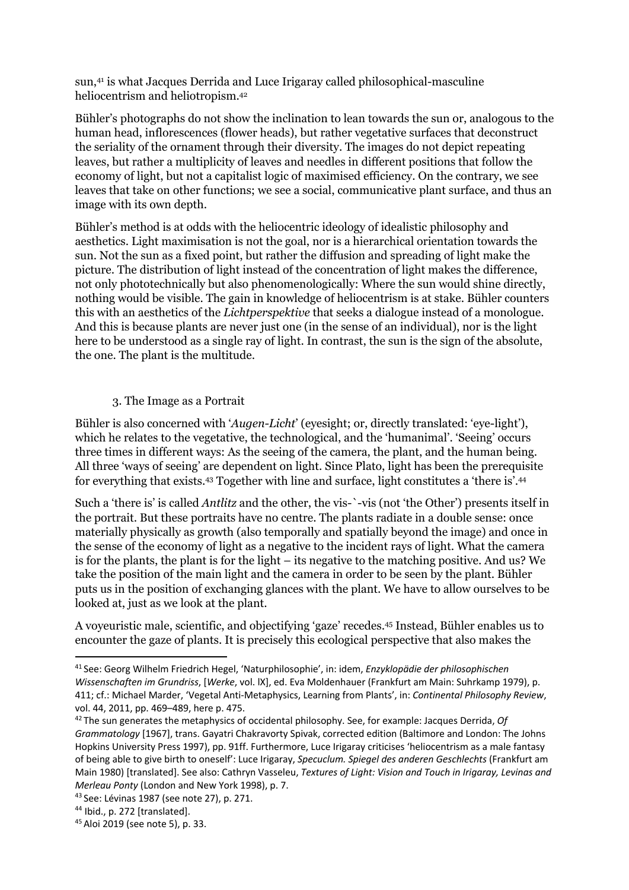sun,<sup>41</sup> is what Jacques Derrida and Luce Irigaray called philosophical-masculine heliocentrism and heliotropism.42

Bühler's photographs do not show the inclination to lean towards the sun or, analogous to the human head, inflorescences (flower heads), but rather vegetative surfaces that deconstruct the seriality of the ornament through their diversity. The images do not depict repeating leaves, but rather a multiplicity of leaves and needles in different positions that follow the economy of light, but not a capitalist logic of maximised efficiency. On the contrary, we see leaves that take on other functions; we see a social, communicative plant surface, and thus an image with its own depth.

Bühler's method is at odds with the heliocentric ideology of idealistic philosophy and aesthetics. Light maximisation is not the goal, nor is a hierarchical orientation towards the sun. Not the sun as a fixed point, but rather the diffusion and spreading of light make the picture. The distribution of light instead of the concentration of light makes the difference, not only phototechnically but also phenomenologically: Where the sun would shine directly, nothing would be visible. The gain in knowledge of heliocentrism is at stake. Bühler counters this with an aesthetics of the *Lichtperspektive* that seeks a dialogue instead of a monologue. And this is because plants are never just one (in the sense of an individual), nor is the light here to be understood as a single ray of light. In contrast, the sun is the sign of the absolute, the one. The plant is the multitude.

## 3. The Image as a Portrait

Bühler is also concerned with '*Augen-Licht*' (eyesight; or, directly translated: 'eye-light'), which he relates to the vegetative, the technological, and the 'humanimal'. 'Seeing' occurs three times in different ways: As the seeing of the camera, the plant, and the human being. All three 'ways of seeing' are dependent on light. Since Plato, light has been the prerequisite for everything that exists.43 Together with line and surface, light constitutes a 'there is'. 44

Such a 'there is' is called *Antlitz* and the other, the vis-`-vis (not 'the Other') presents itself in the portrait. But these portraits have no centre. The plants radiate in a double sense: once materially physically as growth (also temporally and spatially beyond the image) and once in the sense of the economy of light as a negative to the incident rays of light. What the camera is for the plants, the plant is for the light – its negative to the matching positive. And us? We take the position of the main light and the camera in order to be seen by the plant. Bühler puts us in the position of exchanging glances with the plant. We have to allow ourselves to be looked at, just as we look at the plant.

A voyeuristic male, scientific, and objectifying 'gaze' recedes.45 Instead, Bühler enables us to encounter the gaze of plants. It is precisely this ecological perspective that also makes the

<sup>41</sup> See: Georg Wilhelm Friedrich Hegel, 'Naturphilosophie', in: idem, *Enzyklopädie der philosophischen Wissenschaften im Grundriss*, [*Werke*, vol. lX], ed. Eva Moldenhauer (Frankfurt am Main: Suhrkamp 1979), p. 411; cf.: Michael Marder, 'Vegetal Anti-Metaphysics, Learning from Plants', in: *Continental Philosophy Review*, vol. 44, 2011, pp. 469–489, here p. 475.

<sup>42</sup> The sun generates the metaphysics of occidental philosophy. See, for example: Jacques Derrida, *Of Grammatology* [1967], trans. Gayatri Chakravorty Spivak, corrected edition (Baltimore and London: The Johns Hopkins University Press 1997), pp. 91ff. Furthermore, Luce Irigaray criticises 'heliocentrism as a male fantasy of being able to give birth to oneself': Luce Irigaray, *Specuclum. Spiegel des anderen Geschlechts* (Frankfurt am Main 1980) [translated]. See also: Cathryn Vasseleu, *Textures of Light: Vision and Touch in Irigaray, Levinas and Merleau Ponty* (London and New York 1998), p. 7.

<sup>43</sup> See: Lévinas 1987 (see note 27), p. 271.

<sup>44</sup> Ibid., p. 272 [translated].

<sup>45</sup> Aloi 2019 (see note 5), p. 33.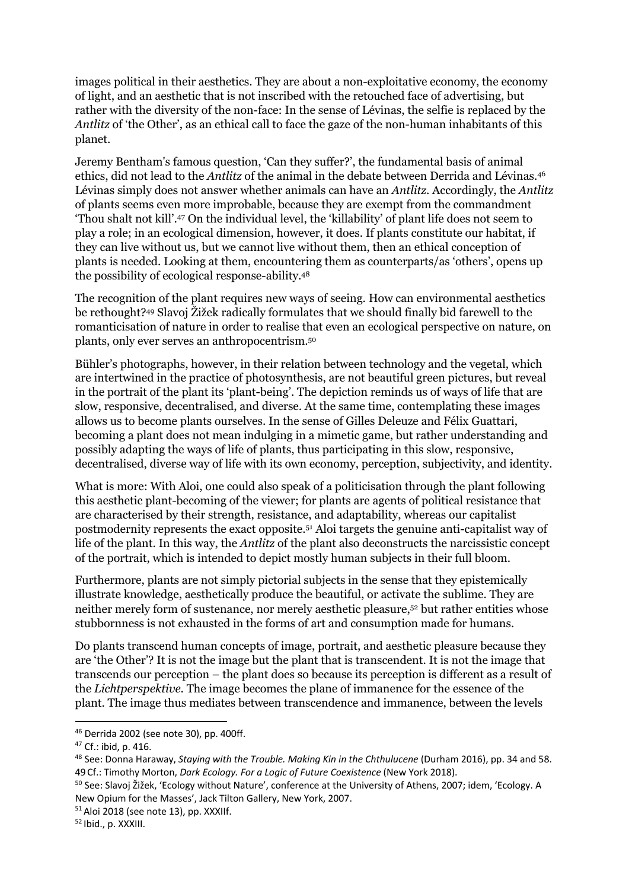images political in their aesthetics. They are about a non-exploitative economy, the economy of light, and an aesthetic that is not inscribed with the retouched face of advertising, but rather with the diversity of the non-face: In the sense of Lévinas, the selfie is replaced by the *Antlitz* of 'the Other', as an ethical call to face the gaze of the non-human inhabitants of this planet.

Jeremy Bentham's famous question, 'Can they suffer?', the fundamental basis of animal ethics, did not lead to the *Antlitz* of the animal in the debate between Derrida and Lévinas.46 Lévinas simply does not answer whether animals can have an *Antlitz*. Accordingly, the *Antlitz* of plants seems even more improbable, because they are exempt from the commandment 'Thou shalt not kill'. <sup>47</sup> On the individual level, the 'killability' of plant life does not seem to play a role; in an ecological dimension, however, it does. If plants constitute our habitat, if they can live without us, but we cannot live without them, then an ethical conception of plants is needed. Looking at them, encountering them as counterparts/as 'others', opens up the possibility of ecological response-ability.48

The recognition of the plant requires new ways of seeing. How can environmental aesthetics be rethought?49 Slavoj Žižek radically formulates that we should finally bid farewell to the romanticisation of nature in order to realise that even an ecological perspective on nature, on plants, only ever serves an anthropocentrism.50

Bühler's photographs, however, in their relation between technology and the vegetal, which are intertwined in the practice of photosynthesis, are not beautiful green pictures, but reveal in the portrait of the plant its 'plant-being'. The depiction reminds us of ways of life that are slow, responsive, decentralised, and diverse. At the same time, contemplating these images allows us to become plants ourselves. In the sense of Gilles Deleuze and Félix Guattari, becoming a plant does not mean indulging in a mimetic game, but rather understanding and possibly adapting the ways of life of plants, thus participating in this slow, responsive, decentralised, diverse way of life with its own economy, perception, subjectivity, and identity.

What is more: With Aloi, one could also speak of a politicisation through the plant following this aesthetic plant-becoming of the viewer; for plants are agents of political resistance that are characterised by their strength, resistance, and adaptability, whereas our capitalist postmodernity represents the exact opposite.51 Aloi targets the genuine anti-capitalist way of life of the plant. In this way, the *Antlitz* of the plant also deconstructs the narcissistic concept of the portrait, which is intended to depict mostly human subjects in their full bloom.

Furthermore, plants are not simply pictorial subjects in the sense that they epistemically illustrate knowledge, aesthetically produce the beautiful, or activate the sublime. They are neither merely form of sustenance, nor merely aesthetic pleasure,52 but rather entities whose stubbornness is not exhausted in the forms of art and consumption made for humans.

Do plants transcend human concepts of image, portrait, and aesthetic pleasure because they are 'the Other'? It is not the image but the plant that is transcendent. It is not the image that transcends our perception – the plant does so because its perception is different as a result of the *Lichtperspektive*. The image becomes the plane of immanence for the essence of the plant. The image thus mediates between transcendence and immanence, between the levels

<sup>46</sup> Derrida 2002 (see note 30), pp. 400ff.

<sup>47</sup> Cf.: ibid, p. 416.

<sup>48</sup> See: Donna Haraway, *Staying with the Trouble. Making Kin in the Chthulucene* (Durham 2016), pp. 34 and 58. 49 Cf.: Timothy Morton, *Dark Ecology. For a Logic of Future Coexistence* (New York 2018).

<sup>&</sup>lt;sup>50</sup> See: Slavoj Žižek, 'Ecology without Nature', conference at the University of Athens, 2007; idem, 'Ecology. A New Opium for the Masses', Jack Tilton Gallery, New York, 2007.<br><sup>51</sup> Aloi 2018 (see note 13), pp. XXXIIf.

<sup>52</sup> Ibid., p. XXXIII.